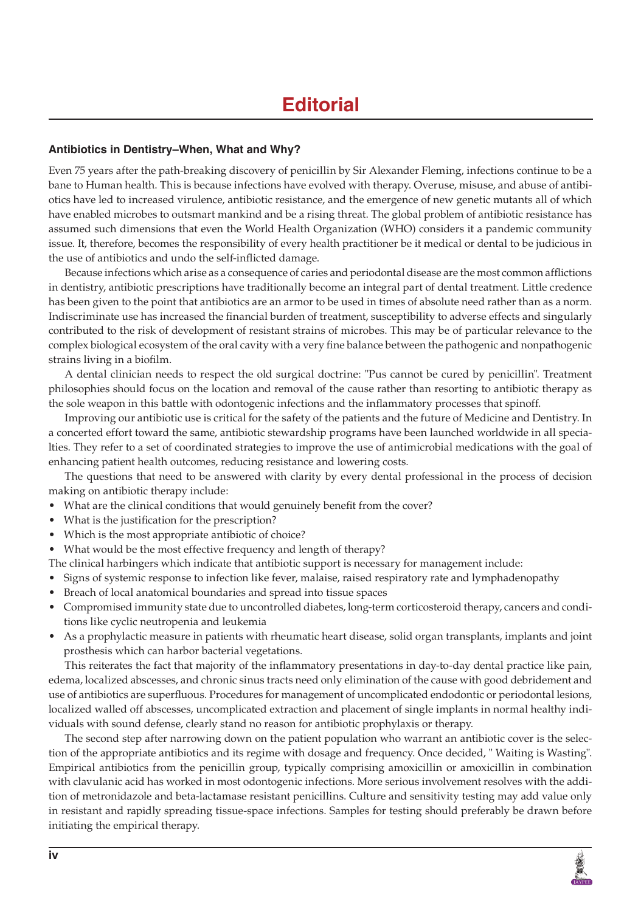## **Antibiotics in Dentistry–When, What and Why?**

Even 75 years after the path-breaking discovery of penicillin by Sir Alexander Fleming, infections continue to be a bane to Human health. This is because infections have evolved with therapy. Overuse, misuse, and abuse of antibiotics have led to increased virulence, antibiotic resistance, and the emergence of new genetic mutants all of which have enabled microbes to outsmart mankind and be a rising threat. The global problem of antibiotic resistance has assumed such dimensions that even the World Health Organization (WHO) considers it a pandemic community issue. It, therefore, becomes the responsibility of every health practitioner be it medical or dental to be judicious in the use of antibiotics and undo the self-inflicted damage.

Because infections which arise as a consequence of caries and periodontal disease are the most common afflictions in dentistry, antibiotic prescriptions have traditionally become an integral part of dental treatment. Little credence has been given to the point that antibiotics are an armor to be used in times of absolute need rather than as a norm. Indiscriminate use has increased the financial burden of treatment, susceptibility to adverse effects and singularly contributed to the risk of development of resistant strains of microbes. This may be of particular relevance to the complex biological ecosystem of the oral cavity with a very fine balance between the pathogenic and nonpathogenic strains living in a biofilm.

A dental clinician needs to respect the old surgical doctrine: "Pus cannot be cured by penicillin". Treatment philosophies should focus on the location and removal of the cause rather than resorting to antibiotic therapy as the sole weapon in this battle with odontogenic infections and the inflammatory processes that spinoff.

Improving our antibiotic use is critical for the safety of the patients and the future of Medicine and Dentistry. In a concerted effort toward the same, antibiotic stewardship programs have been launched worldwide in all specialties. They refer to a set of coordinated strategies to improve the use of antimicrobial medications with the goal of enhancing patient health outcomes, reducing resistance and lowering costs.

The questions that need to be answered with clarity by every dental professional in the process of decision making on antibiotic therapy include:

- What are the clinical conditions that would genuinely benefit from the cover?
- What is the justification for the prescription?
- Which is the most appropriate antibiotic of choice?
- What would be the most effective frequency and length of therapy?
- The clinical harbingers which indicate that antibiotic support is necessary for management include:
- Signs of systemic response to infection like fever, malaise, raised respiratory rate and lymphadenopathy
- Breach of local anatomical boundaries and spread into tissue spaces
- Compromised immunity state due to uncontrolled diabetes, long-term corticosteroid therapy, cancers and conditions like cyclic neutropenia and leukemia
- As a prophylactic measure in patients with rheumatic heart disease, solid organ transplants, implants and joint prosthesis which can harbor bacterial vegetations.

This reiterates the fact that majority of the inflammatory presentations in day-to-day dental practice like pain, edema, localized abscesses, and chronic sinus tracts need only elimination of the cause with good debridement and use of antibiotics are superfluous. Procedures for management of uncomplicated endodontic or periodontal lesions, localized walled off abscesses, uncomplicated extraction and placement of single implants in normal healthy individuals with sound defense, clearly stand no reason for antibiotic prophylaxis or therapy.

The second step after narrowing down on the patient population who warrant an antibiotic cover is the selection of the appropriate antibiotics and its regime with dosage and frequency. Once decided, " Waiting is Wasting". Empirical antibiotics from the penicillin group, typically comprising amoxicillin or amoxicillin in combination with clavulanic acid has worked in most odontogenic infections. More serious involvement resolves with the addition of metronidazole and beta-lactamase resistant penicillins. Culture and sensitivity testing may add value only in resistant and rapidly spreading tissue-space infections. Samples for testing should preferably be drawn before initiating the empirical therapy.